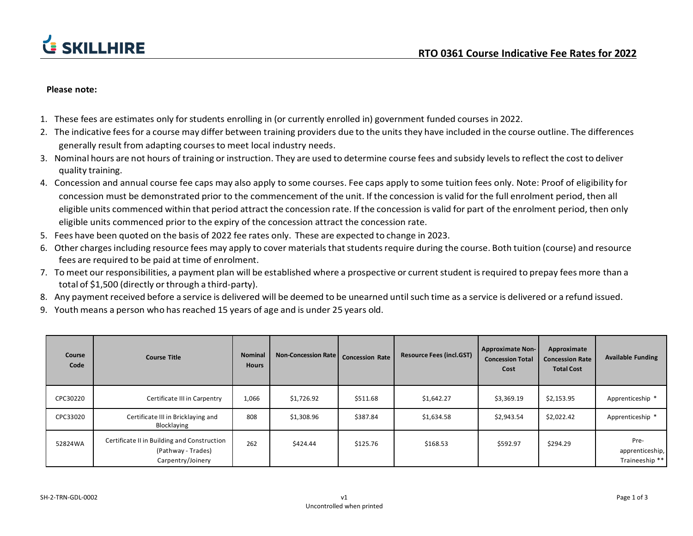

## **Please note:**

- 1. These fees are estimates only forstudents enrolling in (or currently enrolled in) government funded courses in 2022.
- 2. The indicative fees for a course may differ between training providers due to the units they have included in the course outline. The differences generally result from adapting coursesto meet local industry needs.
- 3. Nominal hours are not hours of training or instruction. They are used to determine course fees and subsidy levelsto reflect the cost to deliver quality training.
- 4. Concession and annual course fee caps may also apply to some courses. Fee caps apply to some tuition fees only. Note: Proof of eligibility for concession must be demonstrated prior to the commencement of the unit. If the concession is valid for the full enrolment period, then all eligible units commenced within that period attract the concession rate. If the concession is valid for part of the enrolment period, then only eligible units commenced prior to the expiry of the concession attract the concession rate.
- 5. Fees have been quoted on the basis of 2022 fee rates only. These are expected to change in 2023.
- 6. Other chargesincluding resource fees may apply to cover materials thatstudentsrequire during the course. Both tuition (course) and resource fees are required to be paid at time of enrolment.
- 7. To meet our responsibilities, a payment plan will be established where a prospective or current student is required to prepay fees more than a total of \$1,500 (directly or through a third-party).
- 8. Any payment received before a service is delivered will be deemed to be unearned untilsuch time as a service is delivered or a refund issued.
- 9. Youth means a person who has reached 15 years of age and is under 25 years old.

| Course<br>Code | <b>Course Title</b>                                                                    | <b>Nominal</b><br><b>Hours</b> | <b>Non-Concession Rate</b> | <b>Concession Rate</b> | <b>Resource Fees (incl.GST)</b> | <b>Approximate Non-</b><br><b>Concession Total</b><br>Cost | Approximate<br><b>Concession Rate</b><br><b>Total Cost</b> | <b>Available Funding</b>                  |
|----------------|----------------------------------------------------------------------------------------|--------------------------------|----------------------------|------------------------|---------------------------------|------------------------------------------------------------|------------------------------------------------------------|-------------------------------------------|
| CPC30220       | Certificate III in Carpentry                                                           | 1,066                          | \$1,726.92                 | \$511.68               | \$1,642.27                      | \$3,369.19                                                 | \$2,153.95                                                 | Apprenticeship *                          |
| CPC33020       | Certificate III in Bricklaying and<br>Blocklaying                                      | 808                            | \$1,308.96                 | \$387.84               | \$1,634.58                      | \$2,943.54                                                 | \$2,022.42                                                 | Apprenticeship *                          |
| 52824WA        | Certificate II in Building and Construction<br>(Pathway - Trades)<br>Carpentry/Joinery | 262                            | \$424.44                   | \$125.76               | \$168.53                        | \$592.97                                                   | \$294.29                                                   | Pre-<br>apprenticeship,<br>Traineeship ** |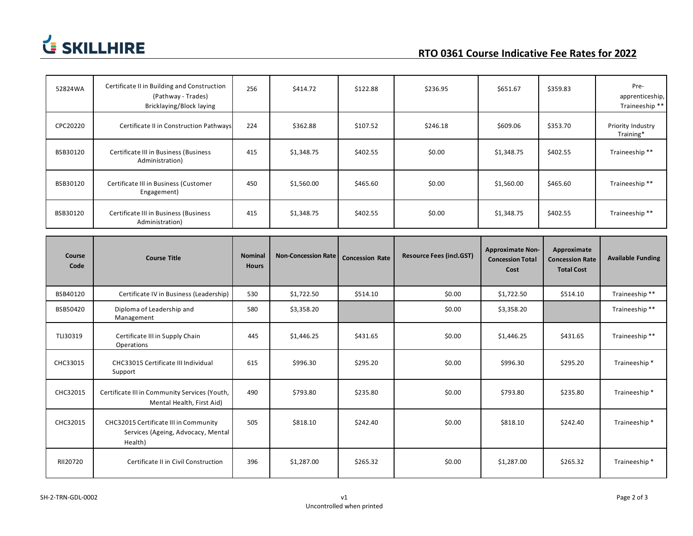

| 52824WA        | Certificate II in Building and Construction<br>(Pathway - Trades)<br>Bricklaying/Block laying | 256                            | \$414.72                   | \$122.88               | \$236.95                        | \$651.67                                                   | \$359.83                                                   | Pre-<br>apprenticeship,<br>Traineeship ** |
|----------------|-----------------------------------------------------------------------------------------------|--------------------------------|----------------------------|------------------------|---------------------------------|------------------------------------------------------------|------------------------------------------------------------|-------------------------------------------|
| CPC20220       | Certificate II in Construction Pathways                                                       | 224                            | \$362.88                   | \$107.52               | \$246.18                        | \$609.06                                                   | \$353.70                                                   | Priority Industry<br>Training*            |
| BSB30120       | Certificate III in Business (Business<br>Administration)                                      | 415                            | \$1,348.75                 | \$402.55               | \$0.00                          | \$1,348.75                                                 | \$402.55                                                   | Traineeship**                             |
| BSB30120       | Certificate III in Business (Customer<br>Engagement)                                          | 450                            | \$1,560.00                 | \$465.60               | \$0.00                          | \$1,560.00                                                 | \$465.60                                                   | Traineeship**                             |
| BSB30120       | Certificate III in Business (Business<br>Administration)                                      | 415                            | \$1,348.75                 | \$402.55               | \$0.00                          | \$1,348.75                                                 | \$402.55                                                   | Traineeship**                             |
|                |                                                                                               |                                |                            |                        |                                 |                                                            |                                                            |                                           |
| Course<br>Code | <b>Course Title</b>                                                                           | <b>Nominal</b><br><b>Hours</b> | <b>Non-Concession Rate</b> | <b>Concession Rate</b> | <b>Resource Fees (incl.GST)</b> | <b>Approximate Non-</b><br><b>Concession Total</b><br>Cost | Approximate<br><b>Concession Rate</b><br><b>Total Cost</b> | <b>Available Funding</b>                  |
| BSB40120       | Certificate IV in Business (Leadership)                                                       | 530                            |                            |                        |                                 |                                                            |                                                            |                                           |
|                |                                                                                               |                                | \$1,722.50                 | \$514.10               | \$0.00                          | \$1,722.50                                                 | \$514.10                                                   | Traineeship**                             |
| BSB50420       | Diploma of Leadership and<br>Management                                                       | 580                            | \$3,358.20                 |                        | \$0.00                          | \$3,358.20                                                 |                                                            | Traineeship**                             |
| TLI30319       | Certificate III in Supply Chain<br>Operations                                                 | 445                            | \$1,446.25                 | \$431.65               | \$0.00                          | \$1,446.25                                                 | \$431.65                                                   | Traineeship**                             |
| CHC33015       | CHC33015 Certificate III Individual<br>Support                                                | 615                            | \$996.30                   | \$295.20               | \$0.00                          | \$996.30                                                   | \$295.20                                                   | Traineeship*                              |
| CHC32015       | Certificate III in Community Services (Youth,<br>Mental Health, First Aid)                    | 490                            | \$793.80                   | \$235.80               | \$0.00                          | \$793.80                                                   | \$235.80                                                   | Traineeship*                              |
| CHC32015       | CHC32015 Certificate III in Community<br>Services (Ageing, Advocacy, Mental<br>Health)        | 505                            | \$818.10                   | \$242.40               | \$0.00                          | \$818.10                                                   | \$242.40                                                   | Traineeship*                              |